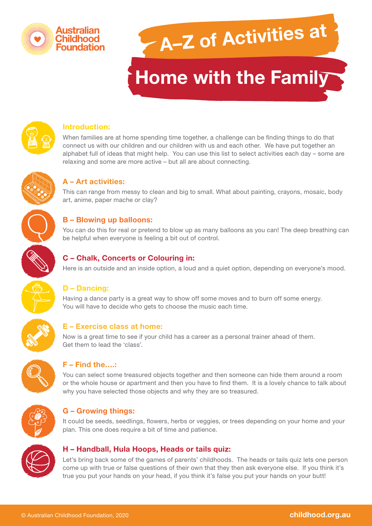

# **A–Z of Activities at**

# **Home with the Family**



#### **Introduction:**

When families are at home spending time together, a challenge can be finding things to do that connect us with our children and our children with us and each other. We have put together an alphabet full of ideas that might help. You can use this list to select activities each day – some are relaxing and some are more active – but all are about connecting.



#### **A – Art activities:**

This can range from messy to clean and big to small. What about painting, crayons, mosaic, body art, anime, paper mache or clay?

#### **B – Blowing up balloons:**

You can do this for real or pretend to blow up as many balloons as you can! The deep breathing can be helpful when everyone is feeling a bit out of control.



#### **C – Chalk, Concerts or Colouring in:**

Here is an outside and an inside option, a loud and a quiet option, depending on everyone's mood.

#### **D – Dancing:**

Having a dance party is a great way to show off some moves and to burn off some energy. You will have to decide who gets to choose the music each time.



#### **E – Exercise class at home:**

Now is a great time to see if your child has a career as a personal trainer ahead of them. Get them to lead the 'class'.



#### **F – Find the….:**

You can select some treasured objects together and then someone can hide them around a room or the whole house or apartment and then you have to find them. It is a lovely chance to talk about why you have selected those objects and why they are so treasured.



#### **G – Growing things:**

It could be seeds, seedlings, flowers, herbs or veggies, or trees depending on your home and your plan. This one does require a bit of time and patience.



#### **H – Handball, Hula Hoops, Heads or tails quiz:**

Let's bring back some of the games of parents' childhoods. The heads or tails quiz lets one person come up with true or false questions of their own that they then ask everyone else. If you think it's true you put your hands on your head, if you think it's false you put your hands on your butt!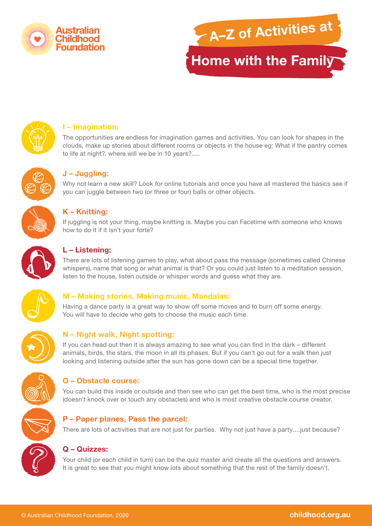





# **I – Imagination:**

The opportunities are endless for imagination games and activities. You can look for shapes in the clouds, make up stories about different rooms or objects in the house eg: What if the pantry comes to life at night?, where will we be in 10 years?.....



# **J – Juggling:**

Why not learn a new skill? Look for online tutorials and once you have all mastered the basics see if you can juggle between two (or three or four) balls or other objects.



# **K – Knitting:**

If juggling is not your thing, maybe knitting is. Maybe you can Facetime with someone who knows how to do it if it isn't your forte?



#### **L – Listening:**

There are lots of listening games to play, what about pass the message (sometimes called Chinese whispers), name that song or what animal is that? Or you could just listen to a meditation session, listen to the house, listen outside or whisper words and guess what they are.



#### **M – Making stories, Making music, Mandalas:**

Having a dance party is a great way to show off some moves and to burn off some energy. You will have to decide who gets to choose the music each time.



# **N – Night walk, Night spotting:**

If you can head out then it is always amazing to see what you can find in the dark – different animals, birds, the stars, the moon in all its phases. But if you can't go out for a walk then just looking and listening outside after the sun has gone down can be a special time together.



#### **O – Obstacle course:**

You can build this inside or outside and then see who can get the best time, who is the most precise (doesn't knock over or touch any obstacles) and who is most creative obstacle course creator.



#### **P – Paper planes, Pass the parcel:**

There are lots of activities that are not just for parties. Why not just have a party.... just because?



Your child (or each child in turn) can be the quiz master and create all the questions and answers. It is great to see that you might know lots about something that the rest of the family doesn't.